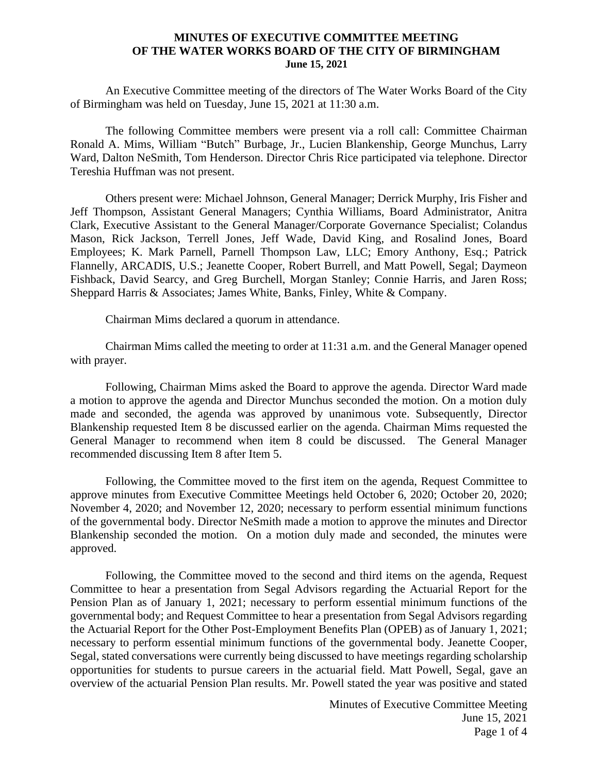## **MINUTES OF EXECUTIVE COMMITTEE MEETING OF THE WATER WORKS BOARD OF THE CITY OF BIRMINGHAM June 15, 2021**

An Executive Committee meeting of the directors of The Water Works Board of the City of Birmingham was held on Tuesday, June 15, 2021 at 11:30 a.m.

The following Committee members were present via a roll call: Committee Chairman Ronald A. Mims, William "Butch" Burbage, Jr., Lucien Blankenship, George Munchus, Larry Ward, Dalton NeSmith, Tom Henderson. Director Chris Rice participated via telephone. Director Tereshia Huffman was not present.

Others present were: Michael Johnson, General Manager; Derrick Murphy, Iris Fisher and Jeff Thompson, Assistant General Managers; Cynthia Williams, Board Administrator, Anitra Clark, Executive Assistant to the General Manager/Corporate Governance Specialist; Colandus Mason, Rick Jackson, Terrell Jones, Jeff Wade, David King, and Rosalind Jones, Board Employees; K. Mark Parnell, Parnell Thompson Law, LLC; Emory Anthony, Esq.; Patrick Flannelly, ARCADIS, U.S.; Jeanette Cooper, Robert Burrell, and Matt Powell, Segal; Daymeon Fishback, David Searcy, and Greg Burchell, Morgan Stanley; Connie Harris, and Jaren Ross; Sheppard Harris & Associates; James White, Banks, Finley, White & Company.

Chairman Mims declared a quorum in attendance.

Chairman Mims called the meeting to order at 11:31 a.m. and the General Manager opened with prayer.

Following, Chairman Mims asked the Board to approve the agenda. Director Ward made a motion to approve the agenda and Director Munchus seconded the motion. On a motion duly made and seconded, the agenda was approved by unanimous vote. Subsequently, Director Blankenship requested Item 8 be discussed earlier on the agenda. Chairman Mims requested the General Manager to recommend when item 8 could be discussed. The General Manager recommended discussing Item 8 after Item 5.

Following, the Committee moved to the first item on the agenda, Request Committee to approve minutes from Executive Committee Meetings held October 6, 2020; October 20, 2020; November 4, 2020; and November 12, 2020; necessary to perform essential minimum functions of the governmental body. Director NeSmith made a motion to approve the minutes and Director Blankenship seconded the motion. On a motion duly made and seconded, the minutes were approved.

Following, the Committee moved to the second and third items on the agenda, Request Committee to hear a presentation from Segal Advisors regarding the Actuarial Report for the Pension Plan as of January 1, 2021; necessary to perform essential minimum functions of the governmental body; and Request Committee to hear a presentation from Segal Advisors regarding the Actuarial Report for the Other Post-Employment Benefits Plan (OPEB) as of January 1, 2021; necessary to perform essential minimum functions of the governmental body. Jeanette Cooper, Segal, stated conversations were currently being discussed to have meetings regarding scholarship opportunities for students to pursue careers in the actuarial field. Matt Powell, Segal, gave an overview of the actuarial Pension Plan results. Mr. Powell stated the year was positive and stated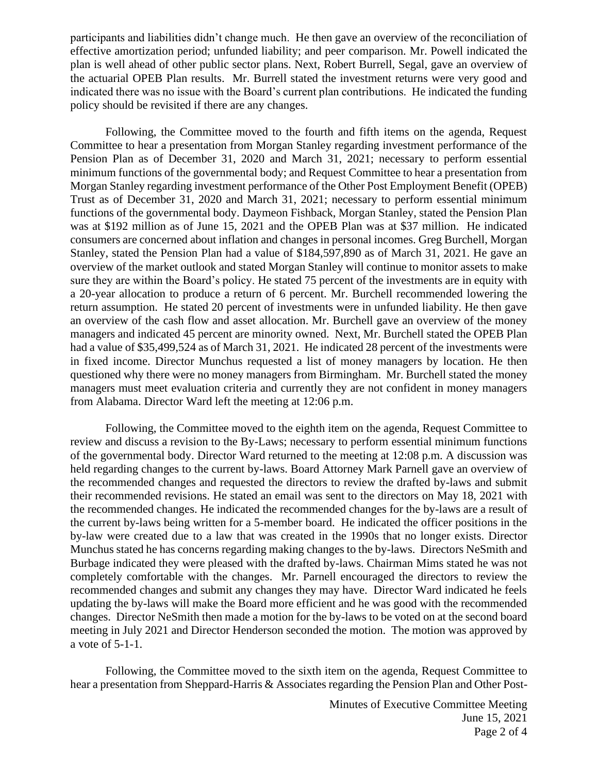participants and liabilities didn't change much. He then gave an overview of the reconciliation of effective amortization period; unfunded liability; and peer comparison. Mr. Powell indicated the plan is well ahead of other public sector plans. Next, Robert Burrell, Segal, gave an overview of the actuarial OPEB Plan results. Mr. Burrell stated the investment returns were very good and indicated there was no issue with the Board's current plan contributions. He indicated the funding policy should be revisited if there are any changes.

Following, the Committee moved to the fourth and fifth items on the agenda, Request Committee to hear a presentation from Morgan Stanley regarding investment performance of the Pension Plan as of December 31, 2020 and March 31, 2021; necessary to perform essential minimum functions of the governmental body; and Request Committee to hear a presentation from Morgan Stanley regarding investment performance of the Other Post Employment Benefit (OPEB) Trust as of December 31, 2020 and March 31, 2021; necessary to perform essential minimum functions of the governmental body. Daymeon Fishback, Morgan Stanley, stated the Pension Plan was at \$192 million as of June 15, 2021 and the OPEB Plan was at \$37 million. He indicated consumers are concerned about inflation and changes in personal incomes. Greg Burchell, Morgan Stanley, stated the Pension Plan had a value of \$184,597,890 as of March 31, 2021. He gave an overview of the market outlook and stated Morgan Stanley will continue to monitor assets to make sure they are within the Board's policy. He stated 75 percent of the investments are in equity with a 20-year allocation to produce a return of 6 percent. Mr. Burchell recommended lowering the return assumption. He stated 20 percent of investments were in unfunded liability. He then gave an overview of the cash flow and asset allocation. Mr. Burchell gave an overview of the money managers and indicated 45 percent are minority owned. Next, Mr. Burchell stated the OPEB Plan had a value of \$35,499,524 as of March 31, 2021. He indicated 28 percent of the investments were in fixed income. Director Munchus requested a list of money managers by location. He then questioned why there were no money managers from Birmingham. Mr. Burchell stated the money managers must meet evaluation criteria and currently they are not confident in money managers from Alabama. Director Ward left the meeting at 12:06 p.m.

Following, the Committee moved to the eighth item on the agenda, Request Committee to review and discuss a revision to the By-Laws; necessary to perform essential minimum functions of the governmental body. Director Ward returned to the meeting at 12:08 p.m. A discussion was held regarding changes to the current by-laws. Board Attorney Mark Parnell gave an overview of the recommended changes and requested the directors to review the drafted by-laws and submit their recommended revisions. He stated an email was sent to the directors on May 18, 2021 with the recommended changes. He indicated the recommended changes for the by-laws are a result of the current by-laws being written for a 5-member board. He indicated the officer positions in the by-law were created due to a law that was created in the 1990s that no longer exists. Director Munchus stated he has concerns regarding making changes to the by-laws. Directors NeSmith and Burbage indicated they were pleased with the drafted by-laws. Chairman Mims stated he was not completely comfortable with the changes. Mr. Parnell encouraged the directors to review the recommended changes and submit any changes they may have. Director Ward indicated he feels updating the by-laws will make the Board more efficient and he was good with the recommended changes. Director NeSmith then made a motion for the by-laws to be voted on at the second board meeting in July 2021 and Director Henderson seconded the motion. The motion was approved by a vote of 5-1-1.

Following, the Committee moved to the sixth item on the agenda, Request Committee to hear a presentation from Sheppard-Harris & Associates regarding the Pension Plan and Other Post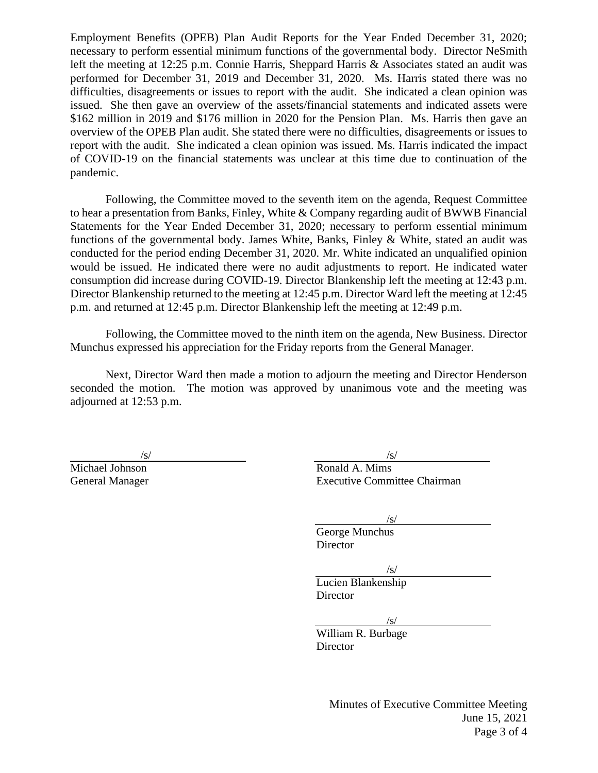Employment Benefits (OPEB) Plan Audit Reports for the Year Ended December 31, 2020; necessary to perform essential minimum functions of the governmental body. Director NeSmith left the meeting at 12:25 p.m. Connie Harris, Sheppard Harris & Associates stated an audit was performed for December 31, 2019 and December 31, 2020. Ms. Harris stated there was no difficulties, disagreements or issues to report with the audit. She indicated a clean opinion was issued. She then gave an overview of the assets/financial statements and indicated assets were \$162 million in 2019 and \$176 million in 2020 for the Pension Plan. Ms. Harris then gave an overview of the OPEB Plan audit. She stated there were no difficulties, disagreements or issues to report with the audit. She indicated a clean opinion was issued. Ms. Harris indicated the impact of COVID-19 on the financial statements was unclear at this time due to continuation of the pandemic.

Following, the Committee moved to the seventh item on the agenda, Request Committee to hear a presentation from Banks, Finley, White & Company regarding audit of BWWB Financial Statements for the Year Ended December 31, 2020; necessary to perform essential minimum functions of the governmental body. James White, Banks, Finley & White, stated an audit was conducted for the period ending December 31, 2020. Mr. White indicated an unqualified opinion would be issued. He indicated there were no audit adjustments to report. He indicated water consumption did increase during COVID-19. Director Blankenship left the meeting at 12:43 p.m. Director Blankenship returned to the meeting at 12:45 p.m. Director Ward left the meeting at 12:45 p.m. and returned at 12:45 p.m. Director Blankenship left the meeting at 12:49 p.m.

Following, the Committee moved to the ninth item on the agenda, New Business. Director Munchus expressed his appreciation for the Friday reports from the General Manager.

Next, Director Ward then made a motion to adjourn the meeting and Director Henderson seconded the motion. The motion was approved by unanimous vote and the meeting was adjourned at 12:53 p.m.

 $\sqrt{s}$ / $\sqrt{s}$ / $\sqrt{s}$ / $\sqrt{s}$ / $\sqrt{s}$ / $\sqrt{s}$ / $\sqrt{s}$ / $\sqrt{s}$ / $\sqrt{s}$ / $\sqrt{s}$ / $\sqrt{s}$ / $\sqrt{s}$ / $\sqrt{s}$ / $\sqrt{s}$ / $\sqrt{s}$ / $\sqrt{s}$ / $\sqrt{s}$ / $\sqrt{s}$ / $\sqrt{s}$ / $\sqrt{s}$ / $\sqrt{s}$ / $\sqrt{s}$ / $\sqrt{s}$ / $\sqrt{s}$ / $\sqrt{s}$ / $\sqrt{s}$ / $\sqrt{s}$ / $\sqrt{s}$ / $\sqrt{s}$ / $\sqrt{s}$ / $\sqrt{s}$ / $\sqrt{s$ Michael Johnson Ronald A. Mims General Manager Executive Committee Chairman

/s/

George Munchus **Director** 

/s/

Lucien Blankenship Director

/s/

William R. Burbage **Director** 

> Minutes of Executive Committee Meeting June 15, 2021 Page 3 of 4